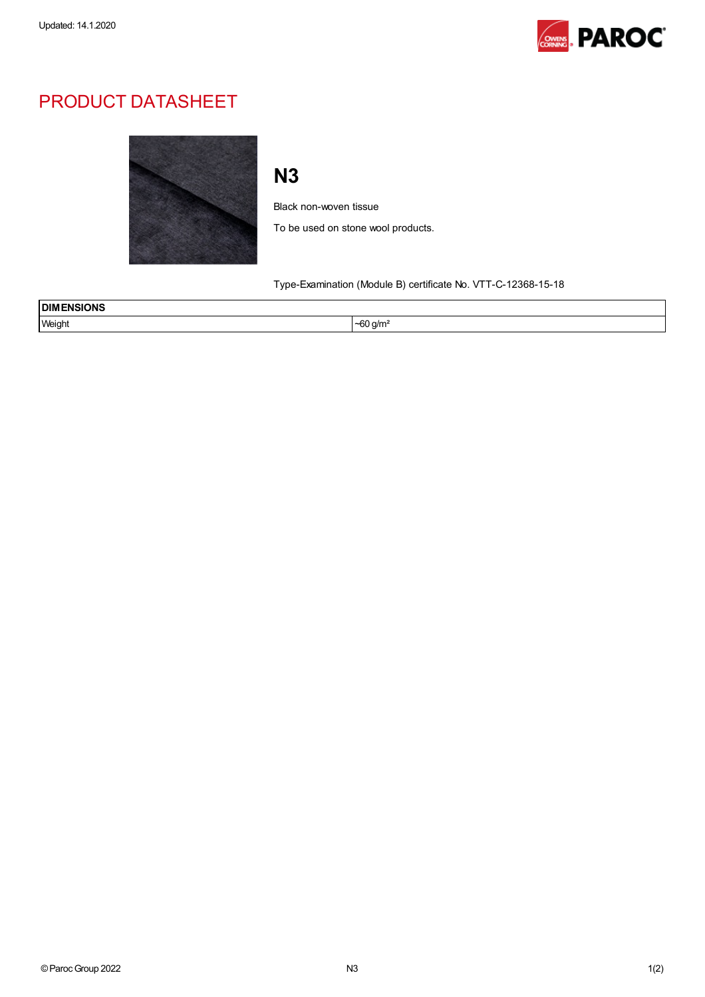

## PRODUCT DATASHEET



## N3

Black non-woven tissue

To be used on stone wool products.

Type-Examination (Module B) certificate No. VTT-C-12368-15-18

| <b>DIMENSIONS</b> |                                  |  |
|-------------------|----------------------------------|--|
| Weight<br>.       | $\sim$<br>) a/m²<br>Oυ<br>$\sim$ |  |